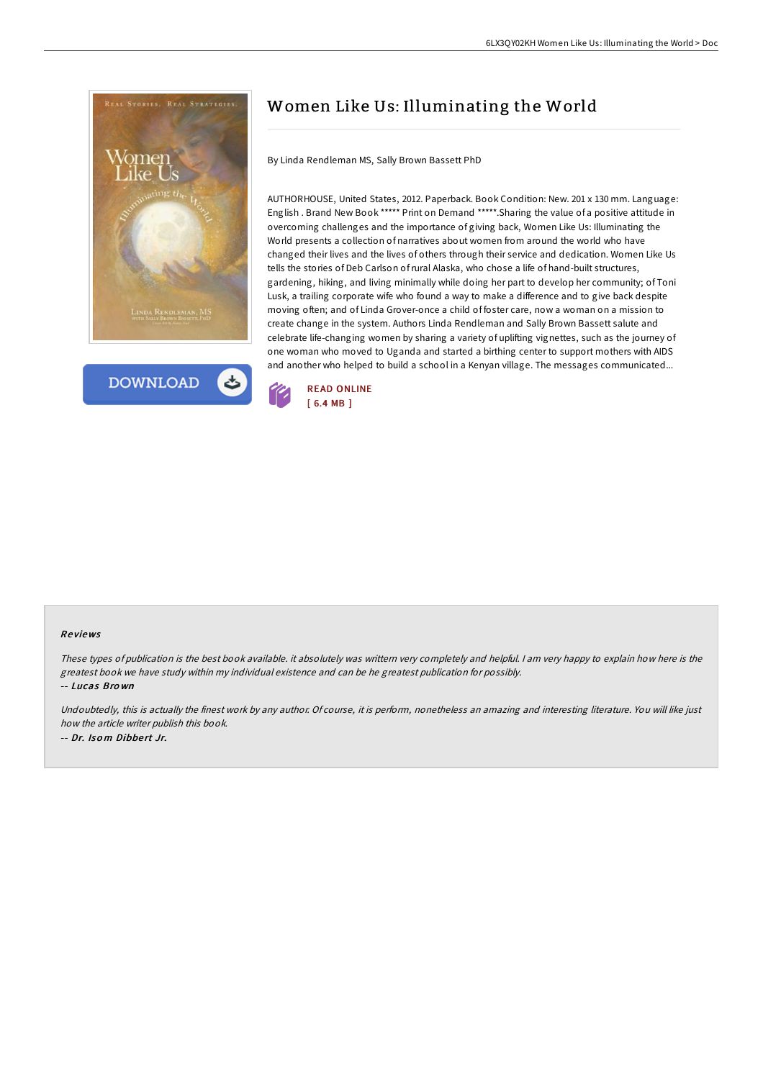



# Women Like Us: Illuminating the World

By Linda Rendleman MS, Sally Brown Bassett PhD

AUTHORHOUSE, United States, 2012. Paperback. Book Condition: New. 201 x 130 mm. Language: English . Brand New Book \*\*\*\*\* Print on Demand \*\*\*\*\*.Sharing the value of a positive attitude in overcoming challenges and the importance of giving back, Women Like Us: Illuminating the World presents a collection of narratives about women from around the world who have changed their lives and the lives of others through their service and dedication. Women Like Us tells the stories of Deb Carlson ofrural Alaska, who chose a life of hand-built structures, gardening, hiking, and living minimally while doing her part to develop her community; of Toni Lusk, a trailing corporate wife who found a way to make a difference and to give back despite moving often; and of Linda Grover-once a child of foster care, now a woman on a mission to create change in the system. Authors Linda Rendleman and Sally Brown Bassett salute and celebrate life-changing women by sharing a variety of uplifting vignettes, such as the journey of one woman who moved to Uganda and started a birthing center to support mothers with AIDS and another who helped to build a school in a Kenyan village. The messages communicated...



#### Re views

-- Lucas Bro wn

These types of publication is the best book available. it absolutely was writtern very completely and helpful. I am very happy to explain how here is the greatest book we have study within my individual existence and can be he greatest publication for possibly.

Undoubtedly, this is actually the finest work by any author. Of course, it is perform, nonetheless an amazing and interesting literature. You will like just how the article writer publish this book. -- Dr. Iso <sup>m</sup> Dibbe rt Jr.